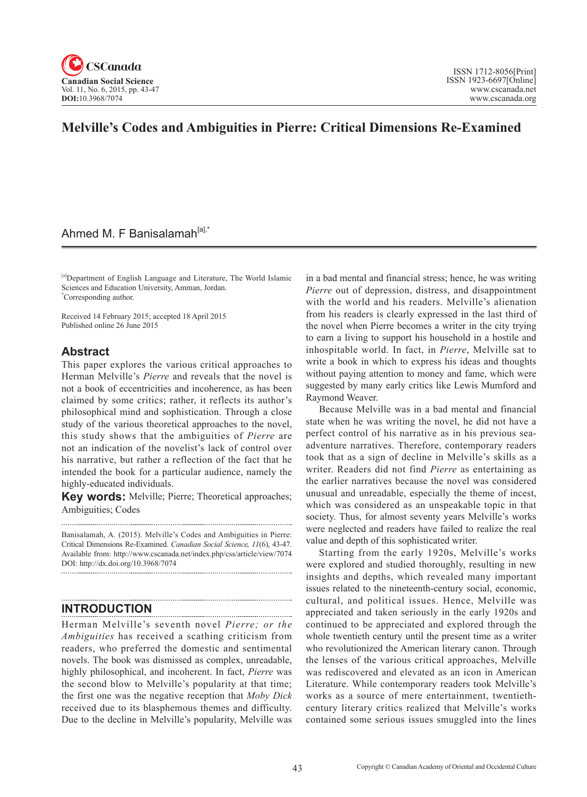

# **Melville's Codes and Ambiguities in Pierre: Critical Dimensions Re-Examined**

## Ahmed M. F Banisalamah<sup>[a],\*</sup>

[a]Department of English Language and Literature, The World Islamic Sciences and Education University, Amman, Jordan. \* Corresponding author.

Received 14 February 2015; accepted 18 April 2015 Published online 26 June 2015

### **Abstract**

This paper explores the various critical approaches to Herman Melville's *Pierre* and reveals that the novel is not a book of eccentricities and incoherence, as has been claimed by some critics; rather, it reflects its author's philosophical mind and sophistication. Through a close study of the various theoretical approaches to the novel, this study shows that the ambiguities of *Pierre* are not an indication of the novelist's lack of control over his narrative, but rather a reflection of the fact that he intended the book for a particular audience, namely the highly-educated individuals.

**Key words:** Melville; Pierre; Theoretical approaches; Ambiguities; Codes

Banisalamah, A. (2015). Melville's Codes and Ambiguities in Pierre: Critical Dimensions Re-Examined. *Canadian Social Science*, <sup>11</sup>(6), 43-47. Available from: http://www.cscanada.net/index.php/css/article/view/7074 DOI: http://dx.doi.org/10.3968/7074 

## **INTRODUCTION**

Herman Melville's seventh novel *Pierre; or the Ambiguities* has received a scathing criticism from readers, who preferred the domestic and sentimental novels. The book was dismissed as complex, unreadable, highly philosophical, and incoherent. In fact, *Pierre* was the second blow to Melville's popularity at that time; the first one was the negative reception that *Moby Dick* received due to its blasphemous themes and difficulty. Due to the decline in Melville's popularity, Melville was

in a bad mental and financial stress; hence, he was writing *Pierre* out of depression, distress, and disappointment with the world and his readers. Melville's alienation from his readers is clearly expressed in the last third of the novel when Pierre becomes a writer in the city trying to earn a living to support his household in a hostile and inhospitable world. In fact, in *Pierre*, Melville sat to write a book in which to express his ideas and thoughts without paying attention to money and fame, which were suggested by many early critics like Lewis Mumford and Raymond Weaver.

Because Melville was in a bad mental and financial state when he was writing the novel, he did not have a perfect control of his narrative as in his previous seaadventure narratives. Therefore, contemporary readers took that as a sign of decline in Melville's skills as a writer. Readers did not find *Pierre* as entertaining as the earlier narratives because the novel was considered unusual and unreadable, especially the theme of incest, which was considered as an unspeakable topic in that society. Thus, for almost seventy years Melville's works were neglected and readers have failed to realize the real value and depth of this sophisticated writer.

Starting from the early 1920s, Melville's works were explored and studied thoroughly, resulting in new insights and depths, which revealed many important issues related to the nineteenth-century social, economic, cultural, and political issues. Hence, Melville was appreciated and taken seriously in the early 1920s and continued to be appreciated and explored through the whole twentieth century until the present time as a writer who revolutionized the American literary canon. Through the lenses of the various critical approaches, Melville was rediscovered and elevated as an icon in American Literature. While contemporary readers took Melville's works as a source of mere entertainment, twentiethcentury literary critics realized that Melville's works contained some serious issues smuggled into the lines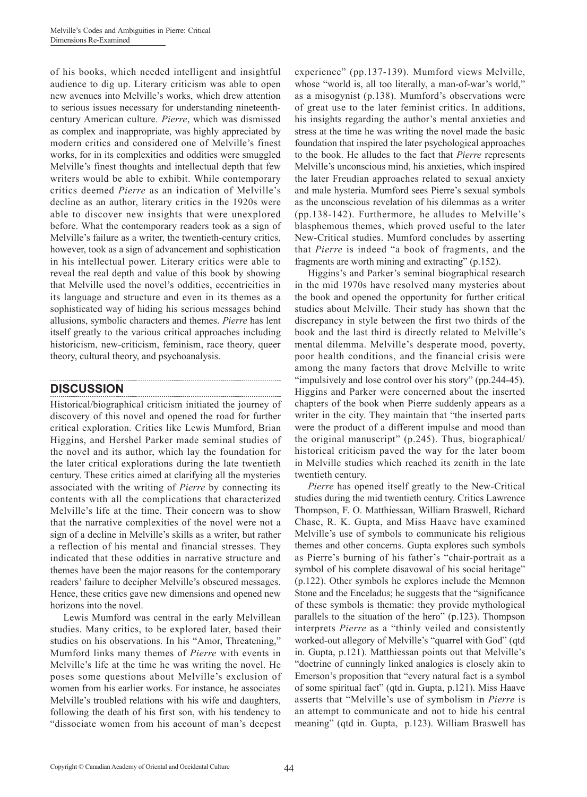of his books, which needed intelligent and insightful audience to dig up. Literary criticism was able to open new avenues into Melville's works, which drew attention to serious issues necessary for understanding nineteenthcentury American culture. *Pierre*, which was dismissed as complex and inappropriate, was highly appreciated by modern critics and considered one of Melville's finest works, for in its complexities and oddities were smuggled Melville's finest thoughts and intellectual depth that few writers would be able to exhibit. While contemporary critics deemed *Pierre* as an indication of Melville's decline as an author, literary critics in the 1920s were able to discover new insights that were unexplored before. What the contemporary readers took as a sign of Melville's failure as a writer, the twentieth-century critics, however, took as a sign of advancement and sophistication in his intellectual power. Literary critics were able to reveal the real depth and value of this book by showing that Melville used the novel's oddities, eccentricities in its language and structure and even in its themes as a sophisticated way of hiding his serious messages behind allusions, symbolic characters and themes. *Pierre* has lent itself greatly to the various critical approaches including historicism, new-criticism, feminism, race theory, queer theory, cultural theory, and psychoanalysis.

### **DISCUSSION**

Historical/biographical criticism initiated the journey of discovery of this novel and opened the road for further critical exploration. Critics like Lewis Mumford, Brian Higgins, and Hershel Parker made seminal studies of the novel and its author, which lay the foundation for the later critical explorations during the late twentieth century. These critics aimed at clarifying all the mysteries associated with the writing of *Pierre* by connecting its contents with all the complications that characterized Melville's life at the time. Their concern was to show that the narrative complexities of the novel were not a sign of a decline in Melville's skills as a writer, but rather a reflection of his mental and financial stresses. They indicated that these oddities in narrative structure and themes have been the major reasons for the contemporary readers' failure to decipher Melville's obscured messages. Hence, these critics gave new dimensions and opened new horizons into the novel.

Lewis Mumford was central in the early Melvillean studies. Many critics, to be explored later, based their studies on his observations. In his "Amor, Threatening," Mumford links many themes of *Pierre* with events in Melville's life at the time he was writing the novel. He poses some questions about Melville's exclusion of women from his earlier works. For instance, he associates Melville's troubled relations with his wife and daughters, following the death of his first son, with his tendency to "dissociate women from his account of man's deepest experience" (pp.137-139). Mumford views Melville, whose "world is, all too literally, a man-of-war's world," as a misogynist (p.138). Mumford's observations were of great use to the later feminist critics. In additions, his insights regarding the author's mental anxieties and stress at the time he was writing the novel made the basic foundation that inspired the later psychological approaches to the book. He alludes to the fact that *Pierre* represents Melville's unconscious mind, his anxieties, which inspired the later Freudian approaches related to sexual anxiety and male hysteria. Mumford sees Pierre's sexual symbols as the unconscious revelation of his dilemmas as a writer (pp.138-142). Furthermore, he alludes to Melville's blasphemous themes, which proved useful to the later New-Critical studies. Mumford concludes by asserting that *Pierre* is indeed "a book of fragments, and the fragments are worth mining and extracting" (p.152).

Higgins's and Parker's seminal biographical research in the mid 1970s have resolved many mysteries about the book and opened the opportunity for further critical studies about Melville. Their study has shown that the discrepancy in style between the first two thirds of the book and the last third is directly related to Melville's mental dilemma. Melville's desperate mood, poverty, poor health conditions, and the financial crisis were among the many factors that drove Melville to write "impulsively and lose control over his story" (pp.244-45). Higgins and Parker were concerned about the inserted chapters of the book when Pierre suddenly appears as a writer in the city. They maintain that "the inserted parts were the product of a different impulse and mood than the original manuscript" (p.245). Thus, biographical/ historical criticism paved the way for the later boom in Melville studies which reached its zenith in the late twentieth century.

*Pierre* has opened itself greatly to the New-Critical studies during the mid twentieth century. Critics Lawrence Thompson, F. O. Matthiessan, William Braswell, Richard Chase, R. K. Gupta, and Miss Haave have examined Melville's use of symbols to communicate his religious themes and other concerns. Gupta explores such symbols as Pierre's burning of his father's "chair-portrait as a symbol of his complete disavowal of his social heritage" (p.122). Other symbols he explores include the Memnon Stone and the Enceladus; he suggests that the "significance of these symbols is thematic: they provide mythological parallels to the situation of the hero" (p.123). Thompson interprets *Pierre* as a "thinly veiled and consistently worked-out allegory of Melville's "quarrel with God" (qtd in. Gupta, p.121). Matthiessan points out that Melville's "doctrine of cunningly linked analogies is closely akin to Emerson's proposition that "every natural fact is a symbol of some spiritual fact" (qtd in. Gupta, p.121). Miss Haave asserts that "Melville's use of symbolism in *Pierre* is an attempt to communicate and not to hide his central meaning" (qtd in. Gupta, p.123). William Braswell has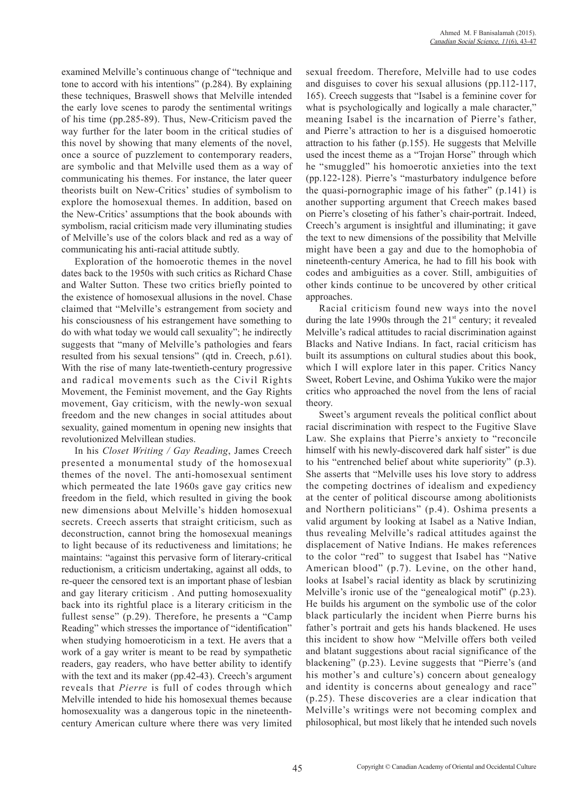examined Melville's continuous change of "technique and tone to accord with his intentions" (p.284). By explaining these techniques, Braswell shows that Melville intended the early love scenes to parody the sentimental writings of his time (pp.285-89). Thus, New-Criticism paved the way further for the later boom in the critical studies of this novel by showing that many elements of the novel, once a source of puzzlement to contemporary readers, are symbolic and that Melville used them as a way of communicating his themes. For instance, the later queer theorists built on New-Critics' studies of symbolism to explore the homosexual themes. In addition, based on the New-Critics' assumptions that the book abounds with symbolism, racial criticism made very illuminating studies of Melville's use of the colors black and red as a way of communicating his anti-racial attitude subtly.

Exploration of the homoerotic themes in the novel dates back to the 1950s with such critics as Richard Chase and Walter Sutton. These two critics briefly pointed to the existence of homosexual allusions in the novel. Chase claimed that "Melville's estrangement from society and his consciousness of his estrangement have something to do with what today we would call sexuality"; he indirectly suggests that "many of Melville's pathologies and fears resulted from his sexual tensions" (qtd in. Creech, p.61). With the rise of many late-twentieth-century progressive and radical movements such as the Civil Rights Movement, the Feminist movement, and the Gay Rights movement, Gay criticism, with the newly-won sexual freedom and the new changes in social attitudes about sexuality, gained momentum in opening new insights that revolutionized Melvillean studies.

In his *Closet Writing / Gay Reading*, James Creech presented a monumental study of the homosexual themes of the novel. The anti-homosexual sentiment which permeated the late 1960s gave gay critics new freedom in the field, which resulted in giving the book new dimensions about Melville's hidden homosexual secrets. Creech asserts that straight criticism, such as deconstruction, cannot bring the homosexual meanings to light because of its reductiveness and limitations; he maintains: "against this pervasive form of literary-critical reductionism, a criticism undertaking, against all odds, to re-queer the censored text is an important phase of lesbian and gay literary criticism . And putting homosexuality back into its rightful place is a literary criticism in the fullest sense" (p.29). Therefore, he presents a "Camp Reading" which stresses the importance of "identification" when studying homoeroticism in a text. He avers that a work of a gay writer is meant to be read by sympathetic readers, gay readers, who have better ability to identify with the text and its maker (pp.42-43). Creech's argument reveals that *Pierre* is full of codes through which Melville intended to hide his homosexual themes because homosexuality was a dangerous topic in the nineteenthcentury American culture where there was very limited sexual freedom. Therefore, Melville had to use codes and disguises to cover his sexual allusions (pp.112-117, 165). Creech suggests that "Isabel is a feminine cover for what is psychologically and logically a male character." meaning Isabel is the incarnation of Pierre's father, and Pierre's attraction to her is a disguised homoerotic attraction to his father (p.155). He suggests that Melville used the incest theme as a "Trojan Horse" through which he "smuggled" his homoerotic anxieties into the text (pp.122-128). Pierre's "masturbatory indulgence before the quasi-pornographic image of his father" (p.141) is another supporting argument that Creech makes based on Pierre's closeting of his father's chair-portrait. Indeed, Creech's argument is insightful and illuminating; it gave the text to new dimensions of the possibility that Melville might have been a gay and due to the homophobia of nineteenth-century America, he had to fill his book with codes and ambiguities as a cover. Still, ambiguities of other kinds continue to be uncovered by other critical approaches.

Racial criticism found new ways into the novel during the late 1990s through the  $21<sup>st</sup>$  century; it revealed Melville's radical attitudes to racial discrimination against Blacks and Native Indians. In fact, racial criticism has built its assumptions on cultural studies about this book, which I will explore later in this paper. Critics Nancy Sweet, Robert Levine, and Oshima Yukiko were the major critics who approached the novel from the lens of racial theory.

Sweet's argument reveals the political conflict about racial discrimination with respect to the Fugitive Slave Law. She explains that Pierre's anxiety to "reconcile himself with his newly-discovered dark half sister" is due to his "entrenched belief about white superiority" (p.3). She asserts that "Melville uses his love story to address the competing doctrines of idealism and expediency at the center of political discourse among abolitionists and Northern politicians" (p.4). Oshima presents a valid argument by looking at Isabel as a Native Indian, thus revealing Melville's radical attitudes against the displacement of Native Indians. He makes references to the color "red" to suggest that Isabel has "Native American blood" (p.7). Levine, on the other hand, looks at Isabel's racial identity as black by scrutinizing Melville's ironic use of the "genealogical motif" (p.23). He builds his argument on the symbolic use of the color black particularly the incident when Pierre burns his father's portrait and gets his hands blackened. He uses this incident to show how "Melville offers both veiled and blatant suggestions about racial significance of the blackening" (p.23). Levine suggests that "Pierre's (and his mother's and culture's) concern about genealogy and identity is concerns about genealogy and race" (p.25). These discoveries are a clear indication that Melville's writings were not becoming complex and philosophical, but most likely that he intended such novels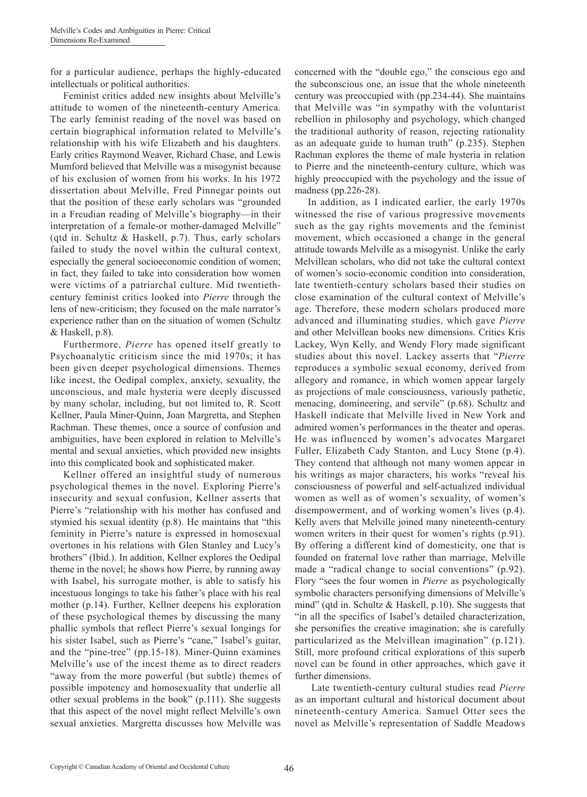for a particular audience, perhaps the highly-educated intellectuals or political authorities.

Feminist critics added new insights about Melville's attitude to women of the nineteenth-century America. The early feminist reading of the novel was based on certain biographical information related to Melville's relationship with his wife Elizabeth and his daughters. Early critics Raymond Weaver, Richard Chase, and Lewis Mumford believed that Melville was a misogynist because of his exclusion of women from his works. In his 1972 dissertation about Melville, Fred Pinnegar points out that the position of these early scholars was "grounded in a Freudian reading of Melville's biography—in their interpretation of a female-or mother-damaged Melville" (qtd in. Schultz & Haskell, p.7). Thus, early scholars failed to study the novel within the cultural context, especially the general socioeconomic condition of women; in fact, they failed to take into consideration how women were victims of a patriarchal culture. Mid twentiethcentury feminist critics looked into *Pierre* through the lens of new-criticism; they focused on the male narrator's experience rather than on the situation of women (Schultz & Haskell, p.8).

Furthermore, *Pierre* has opened itself greatly to Psychoanalytic criticism since the mid 1970s; it has been given deeper psychological dimensions. Themes like incest, the Oedipal complex, anxiety, sexuality, the unconscious, and male hysteria were deeply discussed by many scholar, including, but not limited to, R. Scott Kellner, Paula Miner-Quinn, Joan Margretta, and Stephen Rachman. These themes, once a source of confusion and ambiguities, have been explored in relation to Melville's mental and sexual anxieties, which provided new insights into this complicated book and sophisticated maker.

Kellner offered an insightful study of numerous psychological themes in the novel. Exploring Pierre's insecurity and sexual confusion, Kellner asserts that Pierre's "relationship with his mother has confused and stymied his sexual identity (p.8). He maintains that "this feminity in Pierre's nature is expressed in homosexual overtones in his relations with Glen Stanley and Lucy's brothers" (Ibid.). In addition, Kellner explores the Oedipal theme in the novel; he shows how Pierre, by running away with Isabel, his surrogate mother, is able to satisfy his incestuous longings to take his father's place with his real mother (p.14). Further, Kellner deepens his exploration of these psychological themes by discussing the many phallic symbols that reflect Pierre's sexual longings for his sister Isabel, such as Pierre's "cane," Isabel's guitar, and the "pine-tree" (pp.15-18). Miner-Quinn examines Melville's use of the incest theme as to direct readers "away from the more powerful (but subtle) themes of possible impotency and homosexuality that underlie all other sexual problems in the book" (p.111). She suggests that this aspect of the novel might reflect Melville's own sexual anxieties. Margretta discusses how Melville was concerned with the "double ego," the conscious ego and the subconscious one, an issue that the whole nineteenth century was preoccupied with (pp.234-44). She maintains that Melville was "in sympathy with the voluntarist rebellion in philosophy and psychology, which changed the traditional authority of reason, rejecting rationality as an adequate guide to human truth" (p.235). Stephen Rachman explores the theme of male hysteria in relation to Pierre and the nineteenth-century culture, which was highly preoccupied with the psychology and the issue of madness (pp.226-28).

In addition, as I indicated earlier, the early 1970s witnessed the rise of various progressive movements such as the gay rights movements and the feminist movement, which occasioned a change in the general attitude towards Melville as a misogynist. Unlike the early Melvillean scholars, who did not take the cultural context of women's socio-economic condition into consideration, late twentieth-century scholars based their studies on close examination of the cultural context of Melville's age. Therefore, these modern scholars produced more advanced and illuminating studies, which gave *Pierre*  and other Melvillean books new dimensions. Critics Kris Lackey, Wyn Kelly, and Wendy Flory made significant studies about this novel. Lackey asserts that "*Pierre* reproduces a symbolic sexual economy, derived from allegory and romance, in which women appear largely as projections of male consciousness, variously pathetic, menacing, domineering, and servile" (p.68). Schultz and Haskell indicate that Melville lived in New York and admired women's performances in the theater and operas. He was influenced by women's advocates Margaret Fuller, Elizabeth Cady Stanton, and Lucy Stone (p.4). They contend that although not many women appear in his writings as major characters, his works "reveal his consciousness of powerful and self-actualized individual women as well as of women's sexuality, of women's disempowerment, and of working women's lives (p.4). Kelly avers that Melville joined many nineteenth-century women writers in their quest for women's rights (p.91). By offering a different kind of domesticity, one that is founded on fraternal love rather than marriage, Melville made a "radical change to social conventions" (p.92). Flory "sees the four women in *Pierre* as psychologically symbolic characters personifying dimensions of Melville's mind" (qtd in. Schultz & Haskell, p.10). She suggests that "in all the specifics of Isabel's detailed characterization, she personifies the creative imagination; she is carefully particularized as the Melvillean imagination" (p.121). Still, more profound critical explorations of this superb novel can be found in other approaches, which gave it further dimensions.

 Late twentieth-century cultural studies read *Pierre* as an important cultural and historical document about nineteenth-century America. Samuel Otter sees the novel as Melville's representation of Saddle Meadows